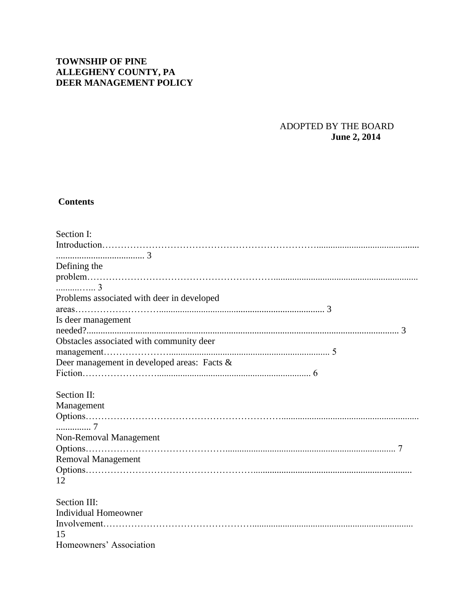# **TOWNSHIP OF PINE ALLEGHENY COUNTY, PA DEER MANAGEMENT POLICY**

## ADOPTED BY THE BOARD  **June 2, 2014**

# **Contents**

| Section I:                                  |
|---------------------------------------------|
|                                             |
|                                             |
| Defining the                                |
|                                             |
|                                             |
| Problems associated with deer in developed  |
|                                             |
| Is deer management                          |
|                                             |
| Obstacles associated with community deer    |
|                                             |
| Deer management in developed areas: Facts & |
|                                             |
| Section II:                                 |
| Management                                  |
|                                             |
|                                             |
| Non-Removal Management                      |
|                                             |
| <b>Removal Management</b>                   |
|                                             |
| 12                                          |
| Section III:                                |
| <b>Individual Homeowner</b>                 |
|                                             |
| 15                                          |
| Homeowners' Association                     |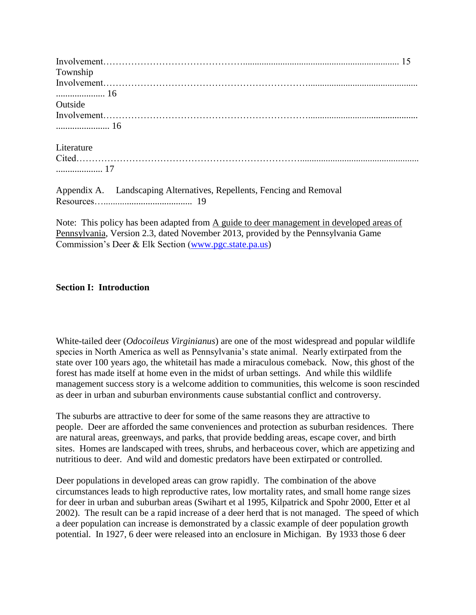| Township                                                              |  |
|-----------------------------------------------------------------------|--|
|                                                                       |  |
|                                                                       |  |
| Outside                                                               |  |
|                                                                       |  |
|                                                                       |  |
| Literature                                                            |  |
|                                                                       |  |
|                                                                       |  |
| Appendix A. Landscaping Alternatives, Repellents, Fencing and Removal |  |

Resources…...................................... 19

Note: This policy has been adapted from A guide to deer management in developed areas of Pennsylvania, Version 2.3, dated November 2013, provided by the Pennsylvania Game Commission's Deer & Elk Section [\(www.pgc.state.pa.us\)](http://www.pgc.state.pa.us/)

#### **Section I: Introduction**

White-tailed deer (*Odocoileus Virginianus*) are one of the most widespread and popular wildlife species in North America as well as Pennsylvania's state animal. Nearly extirpated from the state over 100 years ago, the whitetail has made a miraculous comeback. Now, this ghost of the forest has made itself at home even in the midst of urban settings. And while this wildlife management success story is a welcome addition to communities, this welcome is soon rescinded as deer in urban and suburban environments cause substantial conflict and controversy.

The suburbs are attractive to deer for some of the same reasons they are attractive to people. Deer are afforded the same conveniences and protection as suburban residences. There are natural areas, greenways, and parks, that provide bedding areas, escape cover, and birth sites. Homes are landscaped with trees, shrubs, and herbaceous cover, which are appetizing and nutritious to deer. And wild and domestic predators have been extirpated or controlled.

Deer populations in developed areas can grow rapidly. The combination of the above circumstances leads to high reproductive rates, low mortality rates, and small home range sizes for deer in urban and suburban areas (Swihart et al 1995, Kilpatrick and Spohr 2000, Etter et al 2002). The result can be a rapid increase of a deer herd that is not managed. The speed of which a deer population can increase is demonstrated by a classic example of deer population growth potential. In 1927, 6 deer were released into an enclosure in Michigan. By 1933 those 6 deer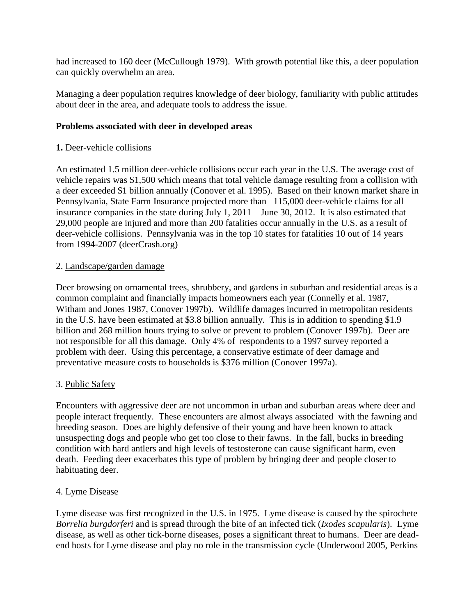had increased to 160 deer (McCullough 1979). With growth potential like this, a deer population can quickly overwhelm an area.

Managing a deer population requires knowledge of deer biology, familiarity with public attitudes about deer in the area, and adequate tools to address the issue.

### **Problems associated with deer in developed areas**

### **1.** Deer-vehicle collisions

An estimated 1.5 million deer-vehicle collisions occur each year in the U.S. The average cost of vehicle repairs was \$1,500 which means that total vehicle damage resulting from a collision with a deer exceeded \$1 billion annually (Conover et al. 1995). Based on their known market share in Pennsylvania, State Farm Insurance projected more than 115,000 deer-vehicle claims for all insurance companies in the state during July 1, 2011 – June 30, 2012. It is also estimated that 29,000 people are injured and more than 200 fatalities occur annually in the U.S. as a result of deer-vehicle collisions. Pennsylvania was in the top 10 states for fatalities 10 out of 14 years from 1994-2007 (deerCrash.org)

#### 2. Landscape/garden damage

Deer browsing on ornamental trees, shrubbery, and gardens in suburban and residential areas is a common complaint and financially impacts homeowners each year (Connelly et al. 1987, Witham and Jones 1987, Conover 1997b). Wildlife damages incurred in metropolitan residents in the U.S. have been estimated at \$3.8 billion annually. This is in addition to spending \$1.9 billion and 268 million hours trying to solve or prevent to problem (Conover 1997b). Deer are not responsible for all this damage. Only 4% of respondents to a 1997 survey reported a problem with deer. Using this percentage, a conservative estimate of deer damage and preventative measure costs to households is \$376 million (Conover 1997a).

#### 3. Public Safety

Encounters with aggressive deer are not uncommon in urban and suburban areas where deer and people interact frequently. These encounters are almost always associated with the fawning and breeding season. Does are highly defensive of their young and have been known to attack unsuspecting dogs and people who get too close to their fawns. In the fall, bucks in breeding condition with hard antlers and high levels of testosterone can cause significant harm, even death. Feeding deer exacerbates this type of problem by bringing deer and people closer to habituating deer.

#### 4. Lyme Disease

Lyme disease was first recognized in the U.S. in 1975. Lyme disease is caused by the spirochete *Borrelia burgdorferi* and is spread through the bite of an infected tick (*Ixodes scapularis*). Lyme disease, as well as other tick-borne diseases, poses a significant threat to humans. Deer are deadend hosts for Lyme disease and play no role in the transmission cycle (Underwood 2005, Perkins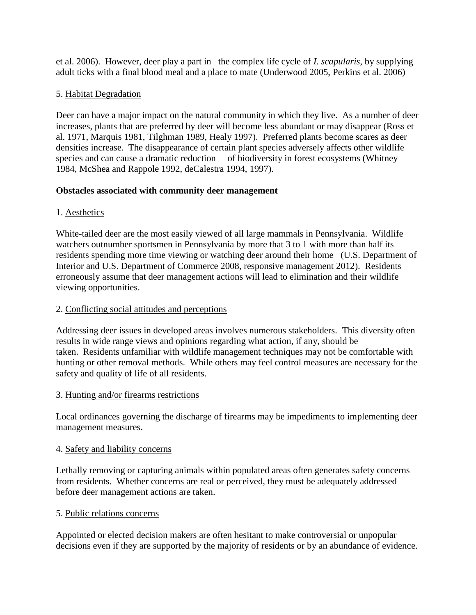et al. 2006). However, deer play a part in the complex life cycle of *I. scapularis*, by supplying adult ticks with a final blood meal and a place to mate (Underwood 2005, Perkins et al. 2006)

## 5. Habitat Degradation

Deer can have a major impact on the natural community in which they live. As a number of deer increases, plants that are preferred by deer will become less abundant or may disappear (Ross et al. 1971, Marquis 1981, Tilghman 1989, Healy 1997). Preferred plants become scares as deer densities increase. The disappearance of certain plant species adversely affects other wildlife species and can cause a dramatic reduction of biodiversity in forest ecosystems (Whitney 1984, McShea and Rappole 1992, deCalestra 1994, 1997).

## **Obstacles associated with community deer management**

# 1. Aesthetics

White-tailed deer are the most easily viewed of all large mammals in Pennsylvania. Wildlife watchers outnumber sportsmen in Pennsylvania by more that 3 to 1 with more than half its residents spending more time viewing or watching deer around their home (U.S. Department of Interior and U.S. Department of Commerce 2008, responsive management 2012). Residents erroneously assume that deer management actions will lead to elimination and their wildlife viewing opportunities.

# 2. Conflicting social attitudes and perceptions

Addressing deer issues in developed areas involves numerous stakeholders. This diversity often results in wide range views and opinions regarding what action, if any, should be taken. Residents unfamiliar with wildlife management techniques may not be comfortable with hunting or other removal methods. While others may feel control measures are necessary for the safety and quality of life of all residents.

## 3. Hunting and/or firearms restrictions

Local ordinances governing the discharge of firearms may be impediments to implementing deer management measures.

## 4. Safety and liability concerns

Lethally removing or capturing animals within populated areas often generates safety concerns from residents. Whether concerns are real or perceived, they must be adequately addressed before deer management actions are taken.

## 5. Public relations concerns

Appointed or elected decision makers are often hesitant to make controversial or unpopular decisions even if they are supported by the majority of residents or by an abundance of evidence.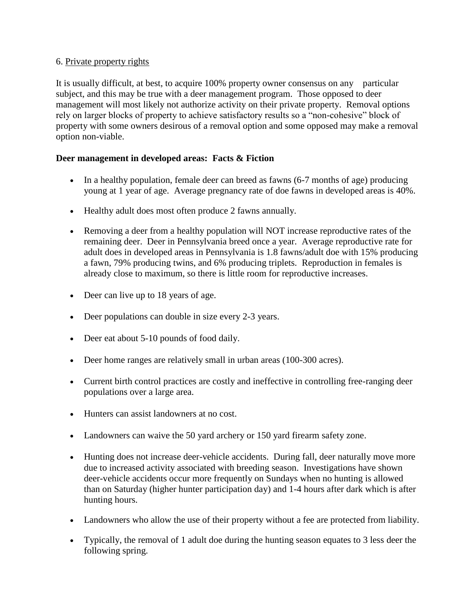### 6. Private property rights

It is usually difficult, at best, to acquire 100% property owner consensus on any particular subject, and this may be true with a deer management program. Those opposed to deer management will most likely not authorize activity on their private property. Removal options rely on larger blocks of property to achieve satisfactory results so a "non-cohesive" block of property with some owners desirous of a removal option and some opposed may make a removal option non-viable.

## **Deer management in developed areas: Facts & Fiction**

- In a healthy population, female deer can breed as fawns (6-7 months of age) producing young at 1 year of age. Average pregnancy rate of doe fawns in developed areas is 40%.
- Healthy adult does most often produce 2 fawns annually.
- Removing a deer from a healthy population will NOT increase reproductive rates of the remaining deer. Deer in Pennsylvania breed once a year. Average reproductive rate for adult does in developed areas in Pennsylvania is 1.8 fawns/adult doe with 15% producing a fawn, 79% producing twins, and 6% producing triplets. Reproduction in females is already close to maximum, so there is little room for reproductive increases.
- Deer can live up to 18 years of age.
- Deer populations can double in size every 2-3 years.
- Deer eat about 5-10 pounds of food daily.
- Deer home ranges are relatively small in urban areas (100-300 acres).
- Current birth control practices are costly and ineffective in controlling free-ranging deer populations over a large area.
- Hunters can assist landowners at no cost.
- Landowners can waive the 50 yard archery or 150 yard firearm safety zone.
- Hunting does not increase deer-vehicle accidents. During fall, deer naturally move more due to increased activity associated with breeding season. Investigations have shown deer-vehicle accidents occur more frequently on Sundays when no hunting is allowed than on Saturday (higher hunter participation day) and 1-4 hours after dark which is after hunting hours.
- Landowners who allow the use of their property without a fee are protected from liability.
- Typically, the removal of 1 adult doe during the hunting season equates to 3 less deer the following spring.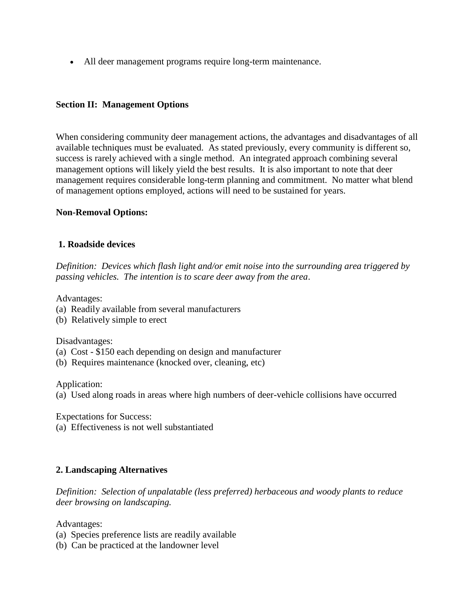• All deer management programs require long-term maintenance.

#### **Section II: Management Options**

When considering community deer management actions, the advantages and disadvantages of all available techniques must be evaluated. As stated previously, every community is different so, success is rarely achieved with a single method. An integrated approach combining several management options will likely yield the best results. It is also important to note that deer management requires considerable long-term planning and commitment. No matter what blend of management options employed, actions will need to be sustained for years.

#### **Non-Removal Options:**

#### **1. Roadside devices**

*Definition: Devices which flash light and/or emit noise into the surrounding area triggered by passing vehicles. The intention is to scare deer away from the area*.

Advantages:

- (a) Readily available from several manufacturers
- (b) Relatively simple to erect

Disadvantages:

- (a) Cost \$150 each depending on design and manufacturer
- (b) Requires maintenance (knocked over, cleaning, etc)

Application:

(a) Used along roads in areas where high numbers of deer-vehicle collisions have occurred

Expectations for Success:

(a) Effectiveness is not well substantiated

#### **2. Landscaping Alternatives**

*Definition: Selection of unpalatable (less preferred) herbaceous and woody plants to reduce deer browsing on landscaping.*

Advantages:

- (a) Species preference lists are readily available
- (b) Can be practiced at the landowner level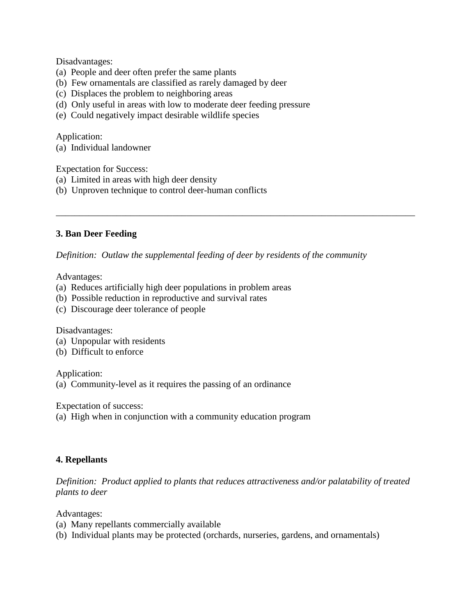Disadvantages:

- (a) People and deer often prefer the same plants
- (b) Few ornamentals are classified as rarely damaged by deer
- (c) Displaces the problem to neighboring areas
- (d) Only useful in areas with low to moderate deer feeding pressure
- (e) Could negatively impact desirable wildlife species

Application:

(a) Individual landowner

Expectation for Success:

- (a) Limited in areas with high deer density
- (b) Unproven technique to control deer-human conflicts

#### **3. Ban Deer Feeding**

*Definition: Outlaw the supplemental feeding of deer by residents of the community* 

\_\_\_\_\_\_\_\_\_\_\_\_\_\_\_\_\_\_\_\_\_\_\_\_\_\_\_\_\_\_\_\_\_\_\_\_\_\_\_\_\_\_\_\_\_\_\_\_\_\_\_\_\_\_\_\_\_\_\_\_\_\_\_\_\_\_\_\_\_\_\_\_\_\_\_\_\_

Advantages:

- (a) Reduces artificially high deer populations in problem areas
- (b) Possible reduction in reproductive and survival rates
- (c) Discourage deer tolerance of people

Disadvantages:

- (a) Unpopular with residents
- (b) Difficult to enforce

Application:

(a) Community-level as it requires the passing of an ordinance

Expectation of success:

(a) High when in conjunction with a community education program

#### **4. Repellants**

*Definition: Product applied to plants that reduces attractiveness and/or palatability of treated plants to deer*

Advantages:

- (a) Many repellants commercially available
- (b) Individual plants may be protected (orchards, nurseries, gardens, and ornamentals)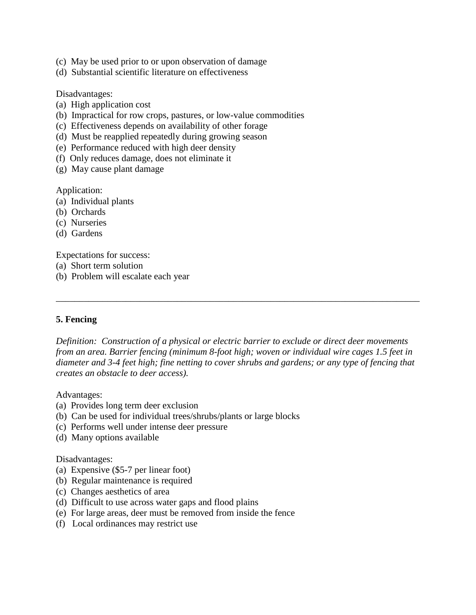- (c) May be used prior to or upon observation of damage
- (d) Substantial scientific literature on effectiveness

Disadvantages:

- (a) High application cost
- (b) Impractical for row crops, pastures, or low-value commodities
- (c) Effectiveness depends on availability of other forage
- (d) Must be reapplied repeatedly during growing season
- (e) Performance reduced with high deer density
- (f) Only reduces damage, does not eliminate it
- (g) May cause plant damage

Application:

- (a) Individual plants
- (b) Orchards
- (c) Nurseries
- (d) Gardens

Expectations for success:

- (a) Short term solution
- (b) Problem will escalate each year

#### **5. Fencing**

*Definition: Construction of a physical or electric barrier to exclude or direct deer movements from an area. Barrier fencing (minimum 8-foot high; woven or individual wire cages 1.5 feet in diameter and 3-4 feet high; fine netting to cover shrubs and gardens; or any type of fencing that creates an obstacle to deer access).*

\_\_\_\_\_\_\_\_\_\_\_\_\_\_\_\_\_\_\_\_\_\_\_\_\_\_\_\_\_\_\_\_\_\_\_\_\_\_\_\_\_\_\_\_\_\_\_\_\_\_\_\_\_\_\_\_\_\_\_\_\_\_\_\_\_\_\_\_\_\_\_\_\_\_\_\_\_\_

Advantages:

- (a) Provides long term deer exclusion
- (b) Can be used for individual trees/shrubs/plants or large blocks
- (c) Performs well under intense deer pressure
- (d) Many options available

Disadvantages:

- (a) Expensive (\$5-7 per linear foot)
- (b) Regular maintenance is required
- (c) Changes aesthetics of area
- (d) Difficult to use across water gaps and flood plains
- (e) For large areas, deer must be removed from inside the fence
- (f) Local ordinances may restrict use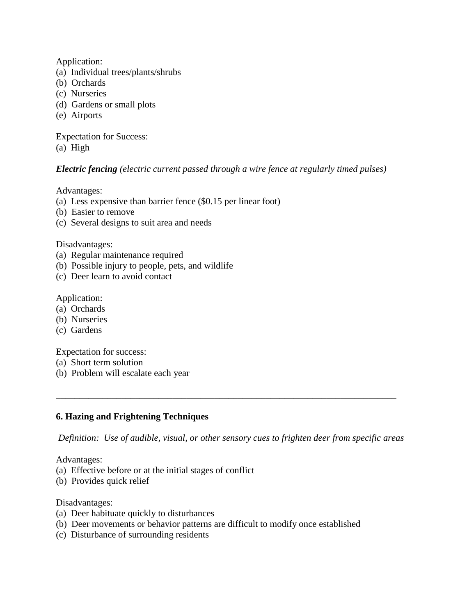Application:

- (a) Individual trees/plants/shrubs
- (b) Orchards
- (c) Nurseries
- (d) Gardens or small plots
- (e) Airports

Expectation for Success: (a) High

### *Electric fencing (electric current passed through a wire fence at regularly timed pulses)*

Advantages:

- (a) Less expensive than barrier fence (\$0.15 per linear foot)
- (b) Easier to remove
- (c) Several designs to suit area and needs

Disadvantages:

- (a) Regular maintenance required
- (b) Possible injury to people, pets, and wildlife
- (c) Deer learn to avoid contact

Application:

- (a) Orchards
- (b) Nurseries
- (c) Gardens

Expectation for success:

- (a) Short term solution
- (b) Problem will escalate each year

#### **6. Hazing and Frightening Techniques**

*Definition: Use of audible, visual, or other sensory cues to frighten deer from specific areas*

\_\_\_\_\_\_\_\_\_\_\_\_\_\_\_\_\_\_\_\_\_\_\_\_\_\_\_\_\_\_\_\_\_\_\_\_\_\_\_\_\_\_\_\_\_\_\_\_\_\_\_\_\_\_\_\_\_\_\_\_\_\_\_\_\_\_\_\_\_\_\_\_\_

Advantages:

- (a) Effective before or at the initial stages of conflict
- (b) Provides quick relief

Disadvantages:

- (a) Deer habituate quickly to disturbances
- (b) Deer movements or behavior patterns are difficult to modify once established
- (c) Disturbance of surrounding residents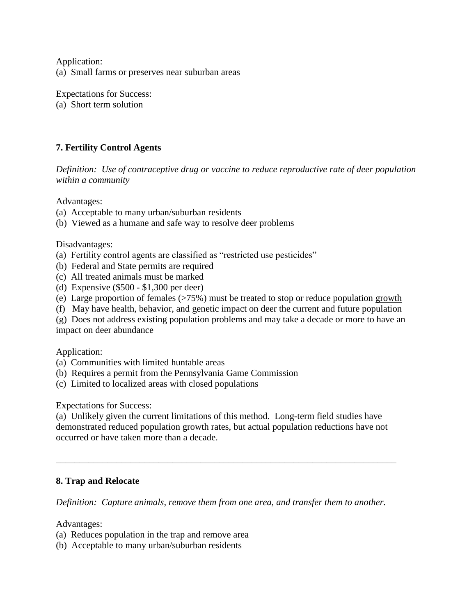Application: (a) Small farms or preserves near suburban areas

Expectations for Success: (a) Short term solution

# **7. Fertility Control Agents**

*Definition: Use of contraceptive drug or vaccine to reduce reproductive rate of deer population within a community*

Advantages:

- (a) Acceptable to many urban/suburban residents
- (b) Viewed as a humane and safe way to resolve deer problems

Disadvantages:

- (a) Fertility control agents are classified as "restricted use pesticides"
- (b) Federal and State permits are required
- (c) All treated animals must be marked
- (d) Expensive (\$500 \$1,300 per deer)
- (e) Large proportion of females (>75%) must be treated to stop or reduce population growth
- (f) May have health, behavior, and genetic impact on deer the current and future population

(g) Does not address existing population problems and may take a decade or more to have an impact on deer abundance

Application:

- (a) Communities with limited huntable areas
- (b) Requires a permit from the Pennsylvania Game Commission
- (c) Limited to localized areas with closed populations

Expectations for Success:

(a) Unlikely given the current limitations of this method. Long-term field studies have demonstrated reduced population growth rates, but actual population reductions have not occurred or have taken more than a decade.

\_\_\_\_\_\_\_\_\_\_\_\_\_\_\_\_\_\_\_\_\_\_\_\_\_\_\_\_\_\_\_\_\_\_\_\_\_\_\_\_\_\_\_\_\_\_\_\_\_\_\_\_\_\_\_\_\_\_\_\_\_\_\_\_\_\_\_\_\_\_\_\_\_

#### **8. Trap and Relocate**

*Definition: Capture animals, remove them from one area, and transfer them to another.*

Advantages:

- (a) Reduces population in the trap and remove area
- (b) Acceptable to many urban/suburban residents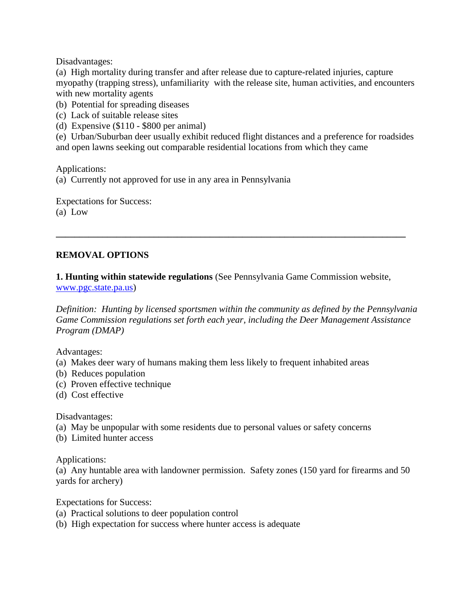Disadvantages:

(a) High mortality during transfer and after release due to capture-related injuries, capture myopathy (trapping stress), unfamiliarity with the release site, human activities, and encounters with new mortality agents

(b) Potential for spreading diseases

- (c) Lack of suitable release sites
- (d) Expensive (\$110 \$800 per animal)

(e) Urban/Suburban deer usually exhibit reduced flight distances and a preference for roadsides and open lawns seeking out comparable residential locations from which they came

Applications:

(a) Currently not approved for use in any area in Pennsylvania

Expectations for Success: (a) Low

## **REMOVAL OPTIONS**

**1. Hunting within statewide regulations** (See Pennsylvania Game Commission website,

**\_\_\_\_\_\_\_\_\_\_\_\_\_\_\_\_\_\_\_\_\_\_\_\_\_\_\_\_\_\_\_\_\_\_\_\_\_\_\_\_\_\_\_\_\_\_\_\_\_\_\_\_\_\_\_\_\_\_\_\_\_\_\_\_\_\_\_\_\_\_\_\_\_\_\_**

[www.pgc.state.pa.us\)](http://www.pgc.state.pa.us/)

*Definition: Hunting by licensed sportsmen within the community as defined by the Pennsylvania Game Commission regulations set forth each year, including the Deer Management Assistance Program (DMAP)*

Advantages:

- (a) Makes deer wary of humans making them less likely to frequent inhabited areas
- (b) Reduces population
- (c) Proven effective technique
- (d) Cost effective

Disadvantages:

- (a) May be unpopular with some residents due to personal values or safety concerns
- (b) Limited hunter access

Applications:

(a) Any huntable area with landowner permission. Safety zones (150 yard for firearms and 50 yards for archery)

Expectations for Success:

- (a) Practical solutions to deer population control
- (b) High expectation for success where hunter access is adequate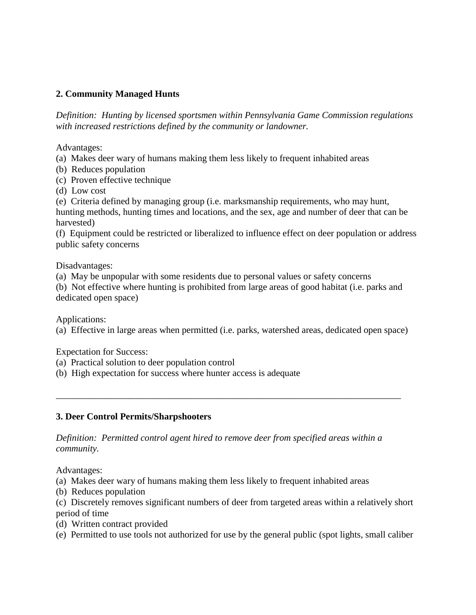# **2. Community Managed Hunts**

*Definition: Hunting by licensed sportsmen within Pennsylvania Game Commission regulations with increased restrictions defined by the community or landowner.*

Advantages:

(a) Makes deer wary of humans making them less likely to frequent inhabited areas

- (b) Reduces population
- (c) Proven effective technique
- (d) Low cost

(e) Criteria defined by managing group (i.e. marksmanship requirements, who may hunt, hunting methods, hunting times and locations, and the sex, age and number of deer that can be harvested)

(f) Equipment could be restricted or liberalized to influence effect on deer population or address public safety concerns

Disadvantages:

(a) May be unpopular with some residents due to personal values or safety concerns

(b) Not effective where hunting is prohibited from large areas of good habitat (i.e. parks and dedicated open space)

Applications:

(a) Effective in large areas when permitted (i.e. parks, watershed areas, dedicated open space)

\_\_\_\_\_\_\_\_\_\_\_\_\_\_\_\_\_\_\_\_\_\_\_\_\_\_\_\_\_\_\_\_\_\_\_\_\_\_\_\_\_\_\_\_\_\_\_\_\_\_\_\_\_\_\_\_\_\_\_\_\_\_\_\_\_\_\_\_\_\_\_\_\_\_

Expectation for Success:

- (a) Practical solution to deer population control
- (b) High expectation for success where hunter access is adequate

## **3. Deer Control Permits/Sharpshooters**

*Definition: Permitted control agent hired to remove deer from specified areas within a community.*

Advantages:

(a) Makes deer wary of humans making them less likely to frequent inhabited areas

(b) Reduces population

(c) Discretely removes significant numbers of deer from targeted areas within a relatively short period of time

- (d) Written contract provided
- (e) Permitted to use tools not authorized for use by the general public (spot lights, small caliber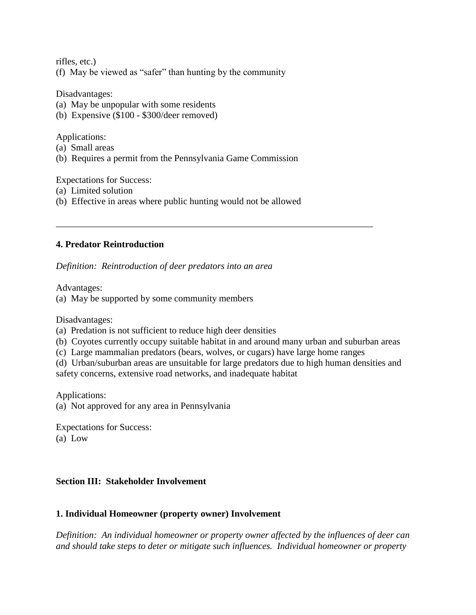rifles, etc.)

(f) May be viewed as "safer" than hunting by the community

Disadvantages:

- (a) May be unpopular with some residents
- (b) Expensive (\$100 \$300/deer removed)

Applications:

- (a) Small areas
- (b) Requires a permit from the Pennsylvania Game Commission

Expectations for Success:

- (a) Limited solution
- (b) Effective in areas where public hunting would not be allowed

#### **4. Predator Reintroduction**

*Definition: Reintroduction of deer predators into an area*

Advantages:

(a) May be supported by some community members

Disadvantages:

- (a) Predation is not sufficient to reduce high deer densities
- (b) Coyotes currently occupy suitable habitat in and around many urban and suburban areas
- (c) Large mammalian predators (bears, wolves, or cugars) have large home ranges

\_\_\_\_\_\_\_\_\_\_\_\_\_\_\_\_\_\_\_\_\_\_\_\_\_\_\_\_\_\_\_\_\_\_\_\_\_\_\_\_\_\_\_\_\_\_\_\_\_\_\_\_\_\_\_\_\_\_\_\_\_\_\_\_\_\_\_\_

(d) Urban/suburban areas are unsuitable for large predators due to high human densities and safety concerns, extensive road networks, and inadequate habitat

Applications:

(a) Not approved for any area in Pennsylvania

Expectations for Success: (a) Low

#### **Section III: Stakeholder Involvement**

#### **1. Individual Homeowner (property owner) Involvement**

*Definition: An individual homeowner or property owner affected by the influences of deer can and should take steps to deter or mitigate such influences. Individual homeowner or property*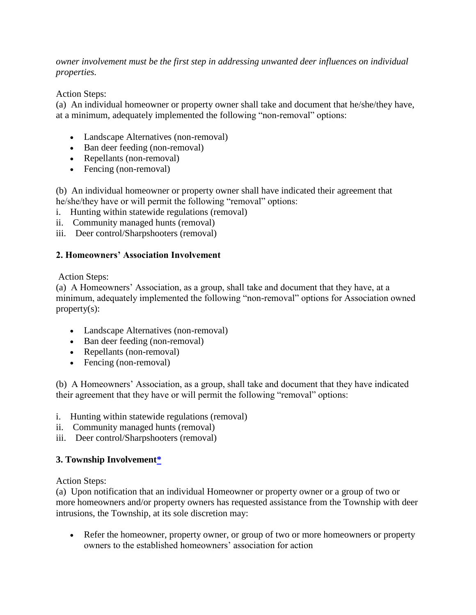*owner involvement must be the first step in addressing unwanted deer influences on individual properties.*

Action Steps:

(a) An individual homeowner or property owner shall take and document that he/she/they have, at a minimum, adequately implemented the following "non-removal" options:

- Landscape Alternatives (non-removal)
- Ban deer feeding (non-removal)
- Repellants (non-removal)
- Fencing (non-removal)

(b) An individual homeowner or property owner shall have indicated their agreement that he/she/they have or will permit the following "removal" options:

- i. Hunting within statewide regulations (removal)
- ii. Community managed hunts (removal)
- iii. Deer control/Sharpshooters (removal)

### **2. Homeowners' Association Involvement**

Action Steps:

(a) A Homeowners' Association, as a group, shall take and document that they have, at a minimum, adequately implemented the following "non-removal" options for Association owned property(s):

- Landscape Alternatives (non-removal)
- Ban deer feeding (non-removal)
- Repellants (non-removal)
- Fencing (non-removal)

(b) A Homeowners' Association, as a group, shall take and document that they have indicated their agreement that they have or will permit the following "removal" options:

- i. Hunting within statewide regulations (removal)
- ii. Community managed hunts (removal)
- iii. Deer control/Sharpshooters (removal)

## **3. Township Involvemen[t\\*](http://twp.pine.pa.us/DeerManagement.html#_ftn1)**

Action Steps:

(a) Upon notification that an individual Homeowner or property owner or a group of two or more homeowners and/or property owners has requested assistance from the Township with deer intrusions, the Township, at its sole discretion may:

• Refer the homeowner, property owner, or group of two or more homeowners or property owners to the established homeowners' association for action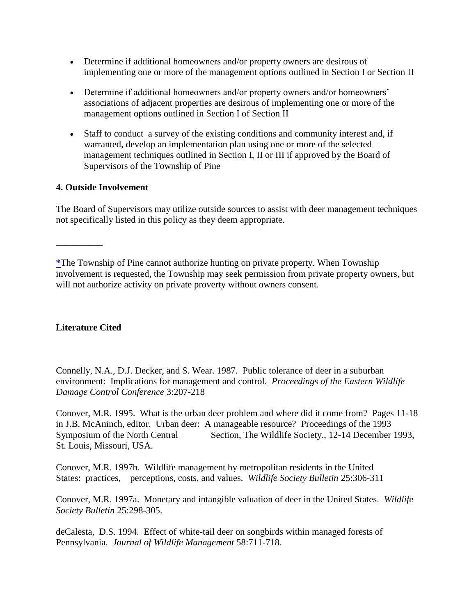- Determine if additional homeowners and/or property owners are desirous of implementing one or more of the management options outlined in Section I or Section II
- Determine if additional homeowners and/or property owners and/or homeowners' associations of adjacent properties are desirous of implementing one or more of the management options outlined in Section I of Section II
- Staff to conduct a survey of the existing conditions and community interest and, if warranted, develop an implementation plan using one or more of the selected management techniques outlined in Section I, II or III if approved by the Board of Supervisors of the Township of Pine

## **4. Outside Involvement**

The Board of Supervisors may utilize outside sources to assist with deer management techniques not specifically listed in this policy as they deem appropriate.

## **Literature Cited**

\_\_\_\_\_\_\_\_\_\_

Connelly, N.A., D.J. Decker, and S. Wear. 1987. Public tolerance of deer in a suburban environment: Implications for management and control. *Proceedings of the Eastern Wildlife Damage Control Conference* 3:207-218

Conover, M.R. 1995. What is the urban deer problem and where did it come from? Pages 11-18 in J.B. McAninch, editor. Urban deer: A manageable resource? Proceedings of the 1993 Symposium of the North Central Section, The Wildlife Society., 12-14 December 1993, St. Louis, Missouri, USA.

Conover, M.R. 1997b. Wildlife management by metropolitan residents in the United States: practices, perceptions, costs, and values. *Wildlife Society Bulletin* 25:306-311

Conover, M.R. 1997a. Monetary and intangible valuation of deer in the United States. *Wildlife Society Bulletin* 25:298-305.

deCalesta, D.S. 1994. Effect of white-tail deer on songbirds within managed forests of Pennsylvania. *Journal of Wildlife Management* 58:711-718.

**[<sup>\\*</sup>](http://twp.pine.pa.us/DeerManagement.html#_ftn1)**The Township of Pine cannot authorize hunting on private property. When Township involvement is requested, the Township may seek permission from private property owners, but will not authorize activity on private proverty without owners consent.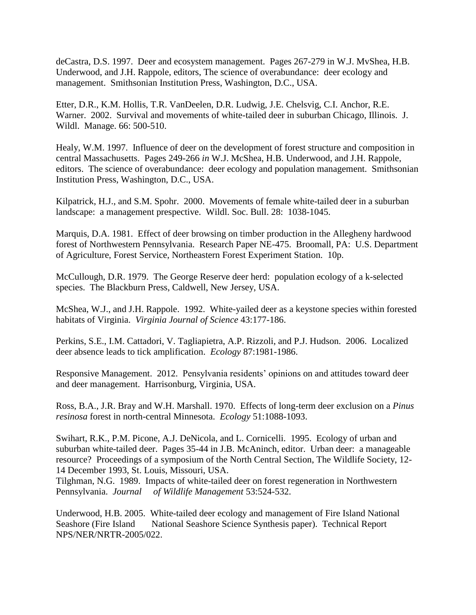deCastra, D.S. 1997. Deer and ecosystem management. Pages 267-279 in W.J. MvShea, H.B. Underwood, and J.H. Rappole, editors, The science of overabundance: deer ecology and management. Smithsonian Institution Press, Washington, D.C., USA.

Etter, D.R., K.M. Hollis, T.R. VanDeelen, D.R. Ludwig, J.E. Chelsvig, C.I. Anchor, R.E. Warner. 2002. Survival and movements of white-tailed deer in suburban Chicago, Illinois. J. Wildl. Manage. 66: 500-510.

Healy, W.M. 1997. Influence of deer on the development of forest structure and composition in central Massachusetts. Pages 249-266 *in* W.J. McShea, H.B. Underwood, and J.H. Rappole, editors. The science of overabundance: deer ecology and population management. Smithsonian Institution Press, Washington, D.C., USA.

Kilpatrick, H.J., and S.M. Spohr. 2000. Movements of female white-tailed deer in a suburban landscape: a management prespective. Wildl. Soc. Bull. 28: 1038-1045.

Marquis, D.A. 1981. Effect of deer browsing on timber production in the Allegheny hardwood forest of Northwestern Pennsylvania. Research Paper NE-475. Broomall, PA: U.S. Department of Agriculture, Forest Service, Northeastern Forest Experiment Station. 10p.

McCullough, D.R. 1979. The George Reserve deer herd: population ecology of a k-selected species. The Blackburn Press, Caldwell, New Jersey, USA.

McShea, W.J., and J.H. Rappole. 1992. White-yailed deer as a keystone species within forested habitats of Virginia. *Virginia Journal of Science* 43:177-186.

Perkins, S.E., I.M. Cattadori, V. Tagliapietra, A.P. Rizzoli, and P.J. Hudson. 2006. Localized deer absence leads to tick amplification. *Ecology* 87:1981-1986.

Responsive Management. 2012. Pensylvania residents' opinions on and attitudes toward deer and deer management. Harrisonburg, Virginia, USA.

Ross, B.A., J.R. Bray and W.H. Marshall. 1970. Effects of long-term deer exclusion on a *Pinus resinosa* forest in north-central Minnesota. *Ecology* 51:1088-1093.

Swihart, R.K., P.M. Picone, A.J. DeNicola, and L. Cornicelli. 1995. Ecology of urban and suburban white-tailed deer. Pages 35-44 in J.B. McAninch, editor. Urban deer: a manageable resource? Proceedings of a symposium of the North Central Section, The Wildlife Society, 12- 14 December 1993, St. Louis, Missouri, USA.

Tilghman, N.G. 1989. Impacts of white-tailed deer on forest regeneration in Northwestern Pennsylvania. *Journal of Wildlife Management* 53:524-532.

Underwood, H.B. 2005. White-tailed deer ecology and management of Fire Island National Seashore (Fire Island National Seashore Science Synthesis paper). Technical Report NPS/NER/NRTR-2005/022.